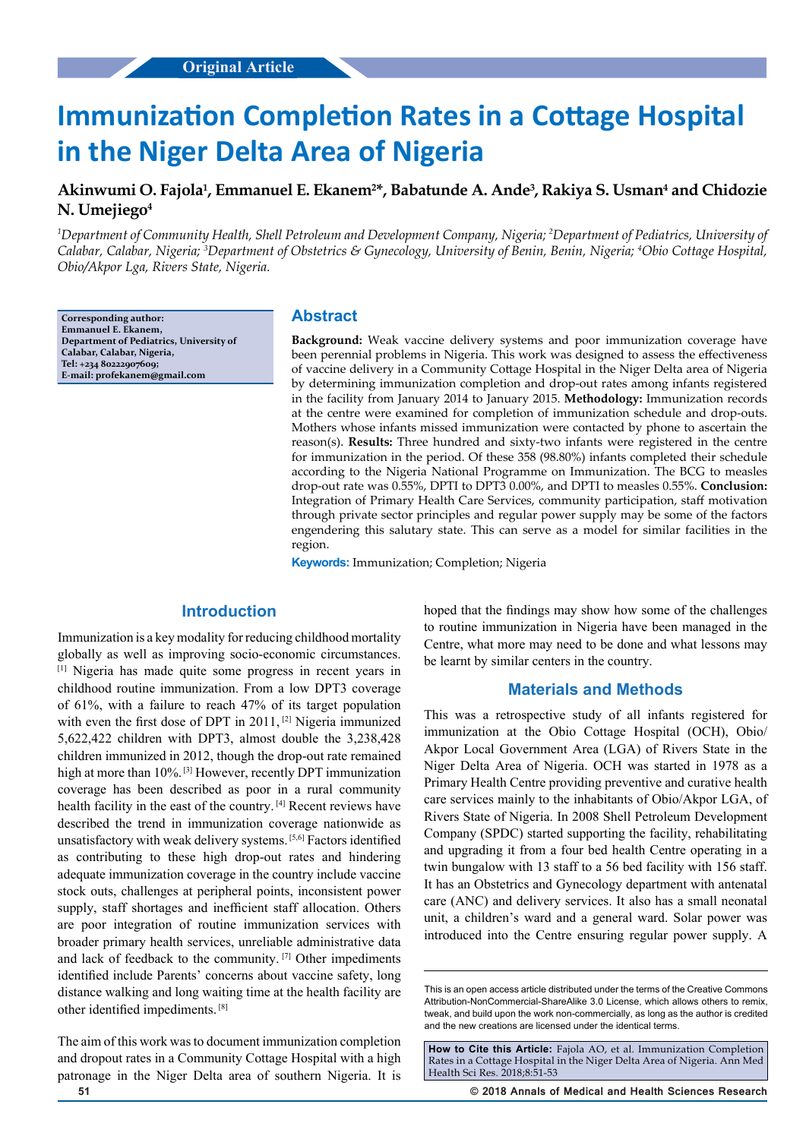# **Immunization Completion Rates in a Cottage Hospital in the Niger Delta Area of Nigeria**

# Akinwumi O. Fajola<sup>1</sup>, Emmanuel E. Ekanem<sup>2\*</sup>, Babatunde A. Ande<sup>3</sup>, Rakiya S. Usman<sup>4</sup> and Chidozie **N. Umejiego4**

*1 Department of Community Health, Shell Petroleum and Development Company, Nigeria; 2 Department of Pediatrics, University of Calabar, Calabar, Nigeria; 3 Department of Obstetrics & Gynecology, University of Benin, Benin, Nigeria; 4 Obio Cottage Hospital, Obio/Akpor Lga, Rivers State, Nigeria.*

**Corresponding author: Emmanuel E. Ekanem, Department of Pediatrics, University of Calabar, Calabar, Nigeria, Tel: +234 80222907609; E-mail: profekanem@gmail.com**

## **Abstract**

**Background:** Weak vaccine delivery systems and poor immunization coverage have been perennial problems in Nigeria. This work was designed to assess the effectiveness of vaccine delivery in a Community Cottage Hospital in the Niger Delta area of Nigeria by determining immunization completion and drop-out rates among infants registered in the facility from January 2014 to January 2015. **Methodology:** Immunization records at the centre were examined for completion of immunization schedule and drop-outs. Mothers whose infants missed immunization were contacted by phone to ascertain the reason(s). **Results:** Three hundred and sixty-two infants were registered in the centre for immunization in the period. Of these 358 (98.80%) infants completed their schedule according to the Nigeria National Programme on Immunization. The BCG to measles drop-out rate was 0.55%, DPTI to DPT3 0.00%, and DPTI to measles 0.55%. **Conclusion:**  Integration of Primary Health Care Services, community participation, staff motivation through private sector principles and regular power supply may be some of the factors engendering this salutary state. This can serve as a model for similar facilities in the region.

**Keywords:** Immunization; Completion; Nigeria

# **Introduction**

Immunization is a key modality for reducing childhood mortality globally as well as improving socio-economic circumstances. [1] Nigeria has made quite some progress in recent years in childhood routine immunization. From a low DPT3 coverage of 61%, with a failure to reach 47% of its target population with even the first dose of DPT in 2011, <sup>[2]</sup> Nigeria immunized 5,622,422 children with DPT3, almost double the 3,238,428 children immunized in 2012, though the drop-out rate remained high at more than 10%.<sup>[3]</sup> However, recently DPT immunization coverage has been described as poor in a rural community health facility in the east of the country. [4] Recent reviews have described the trend in immunization coverage nationwide as unsatisfactory with weak delivery systems. [5,6] Factors identified as contributing to these high drop-out rates and hindering adequate immunization coverage in the country include vaccine stock outs, challenges at peripheral points, inconsistent power supply, staff shortages and inefficient staff allocation. Others are poor integration of routine immunization services with broader primary health services, unreliable administrative data and lack of feedback to the community. [7] Other impediments identified include Parents' concerns about vaccine safety, long distance walking and long waiting time at the health facility are other identified impediments. [8]

The aim of this work was to document immunization completion and dropout rates in a Community Cottage Hospital with a high patronage in the Niger Delta area of southern Nigeria. It is

hoped that the findings may show how some of the challenges to routine immunization in Nigeria have been managed in the Centre, what more may need to be done and what lessons may be learnt by similar centers in the country.

#### **Materials and Methods**

This was a retrospective study of all infants registered for immunization at the Obio Cottage Hospital (OCH), Obio/ Akpor Local Government Area (LGA) of Rivers State in the Niger Delta Area of Nigeria. OCH was started in 1978 as a Primary Health Centre providing preventive and curative health care services mainly to the inhabitants of Obio/Akpor LGA, of Rivers State of Nigeria. In 2008 Shell Petroleum Development Company (SPDC) started supporting the facility, rehabilitating and upgrading it from a four bed health Centre operating in a twin bungalow with 13 staff to a 56 bed facility with 156 staff. It has an Obstetrics and Gynecology department with antenatal care (ANC) and delivery services. It also has a small neonatal unit, a children's ward and a general ward. Solar power was introduced into the Centre ensuring regular power supply. A

**51 © 2018 Annals of Medical and Health Sciences Research** 

This is an open access article distributed under the terms of the Creative Commons Attribution‑NonCommercial‑ShareAlike 3.0 License, which allows others to remix, tweak, and build upon the work non‑commercially, as long as the author is credited and the new creations are licensed under the identical terms.

**How to Cite this Article:** Fajola AO, et al. Immunization Completion Rates in a Cottage Hospital in the Niger Delta Area of Nigeria. Ann Med Health Sci Res. 2018;8:51-53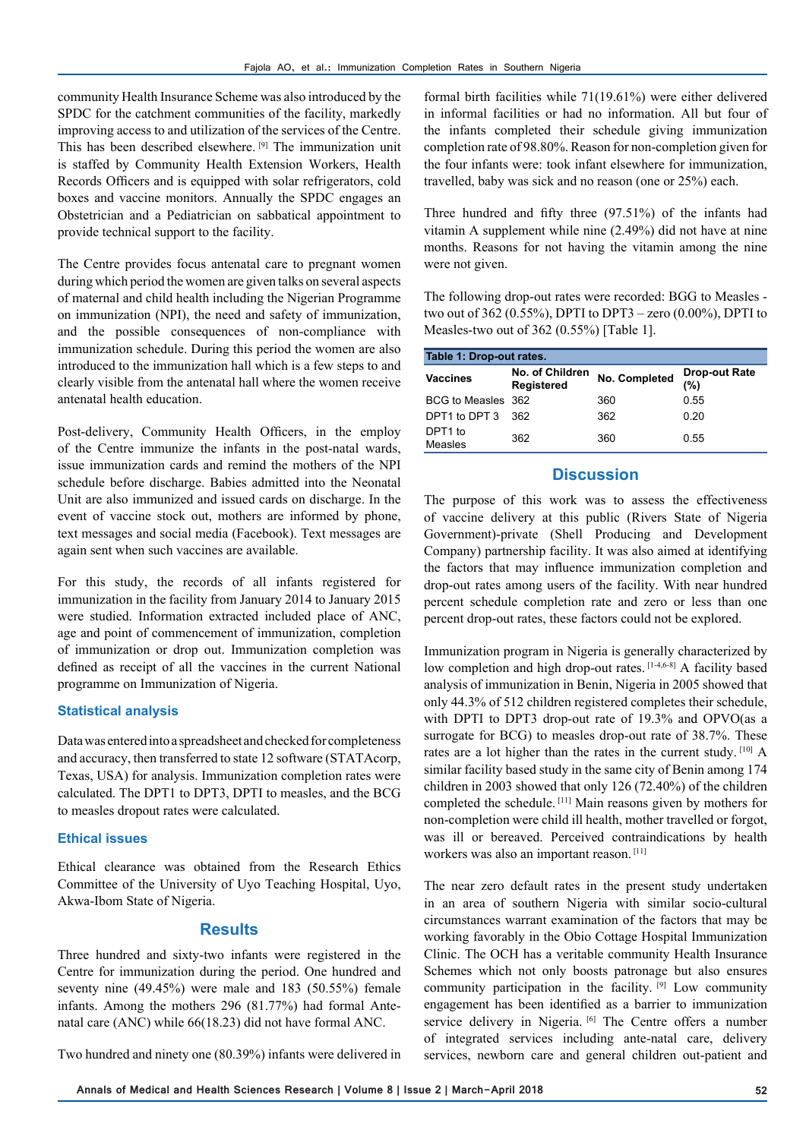community Health Insurance Scheme was also introduced by the SPDC for the catchment communities of the facility, markedly improving access to and utilization of the services of the Centre. This has been described elsewhere. [9] The immunization unit is staffed by Community Health Extension Workers, Health Records Officers and is equipped with solar refrigerators, cold boxes and vaccine monitors. Annually the SPDC engages an Obstetrician and a Pediatrician on sabbatical appointment to provide technical support to the facility.

The Centre provides focus antenatal care to pregnant women during which period the women are given talks on several aspects of maternal and child health including the Nigerian Programme on immunization (NPI), the need and safety of immunization, and the possible consequences of non-compliance with immunization schedule. During this period the women are also introduced to the immunization hall which is a few steps to and clearly visible from the antenatal hall where the women receive antenatal health education.

Post-delivery, Community Health Officers, in the employ of the Centre immunize the infants in the post-natal wards, issue immunization cards and remind the mothers of the NPI schedule before discharge. Babies admitted into the Neonatal Unit are also immunized and issued cards on discharge. In the event of vaccine stock out, mothers are informed by phone, text messages and social media (Facebook). Text messages are again sent when such vaccines are available.

For this study, the records of all infants registered for immunization in the facility from January 2014 to January 2015 were studied. Information extracted included place of ANC, age and point of commencement of immunization, completion of immunization or drop out. Immunization completion was defined as receipt of all the vaccines in the current National programme on Immunization of Nigeria.

#### **Statistical analysis**

Data was entered into a spreadsheet and checked for completeness and accuracy, then transferred to state 12 software (STATAcorp, Texas, USA) for analysis. Immunization completion rates were calculated. The DPT1 to DPT3, DPTI to measles, and the BCG to measles dropout rates were calculated.

#### **Ethical issues**

Ethical clearance was obtained from the Research Ethics Committee of the University of Uyo Teaching Hospital, Uyo, Akwa-Ibom State of Nigeria.

## **Results**

Three hundred and sixty-two infants were registered in the Centre for immunization during the period. One hundred and seventy nine (49.45%) were male and 183 (50.55%) female infants. Among the mothers 296 (81.77%) had formal Antenatal care (ANC) while 66(18.23) did not have formal ANC.

Two hundred and ninety one (80.39%) infants were delivered in

formal birth facilities while 71(19.61%) were either delivered in informal facilities or had no information. All but four of the infants completed their schedule giving immunization completion rate of 98.80%. Reason for non-completion given for the four infants were: took infant elsewhere for immunization, travelled, baby was sick and no reason (one or 25%) each.

Three hundred and fifty three (97.51%) of the infants had vitamin A supplement while nine (2.49%) did not have at nine months. Reasons for not having the vitamin among the nine were not given.

The following drop-out rates were recorded: BGG to Measles two out of 362 (0.55%), DPTI to DPT3 – zero (0.00%), DPTI to Measles-two out of 362 (0.55%) [Table 1].

| Table 1: Drop-out rates. |                                      |               |                             |
|--------------------------|--------------------------------------|---------------|-----------------------------|
| <b>Vaccines</b>          | No. of Children<br><b>Registered</b> | No. Completed | <b>Drop-out Rate</b><br>(%) |
| BCG to Measles 362       |                                      | 360           | 0.55                        |
| DPT1 to DPT 3            | 362                                  | 362           | 0.20                        |
| DPT1 to<br>Measles       | 362                                  | 360           | 0.55                        |

# **Discussion**

The purpose of this work was to assess the effectiveness of vaccine delivery at this public (Rivers State of Nigeria Government)-private (Shell Producing and Development Company) partnership facility. It was also aimed at identifying the factors that may influence immunization completion and drop-out rates among users of the facility. With near hundred percent schedule completion rate and zero or less than one percent drop-out rates, these factors could not be explored.

Immunization program in Nigeria is generally characterized by low completion and high drop-out rates. [1-4,6-8] A facility based analysis of immunization in Benin, Nigeria in 2005 showed that only 44.3% of 512 children registered completes their schedule, with DPTI to DPT3 drop-out rate of 19.3% and OPVO(as a surrogate for BCG) to measles drop-out rate of 38.7%. These rates are a lot higher than the rates in the current study. [10] A similar facility based study in the same city of Benin among 174 children in 2003 showed that only 126 (72.40%) of the children completed the schedule. [11] Main reasons given by mothers for non-completion were child ill health, mother travelled or forgot, was ill or bereaved. Perceived contraindications by health workers was also an important reason.<sup>[11]</sup>

The near zero default rates in the present study undertaken in an area of southern Nigeria with similar socio-cultural circumstances warrant examination of the factors that may be working favorably in the Obio Cottage Hospital Immunization Clinic. The OCH has a veritable community Health Insurance Schemes which not only boosts patronage but also ensures community participation in the facility. [9] Low community engagement has been identified as a barrier to immunization service delivery in Nigeria. [6] The Centre offers a number of integrated services including ante-natal care, delivery services, newborn care and general children out-patient and